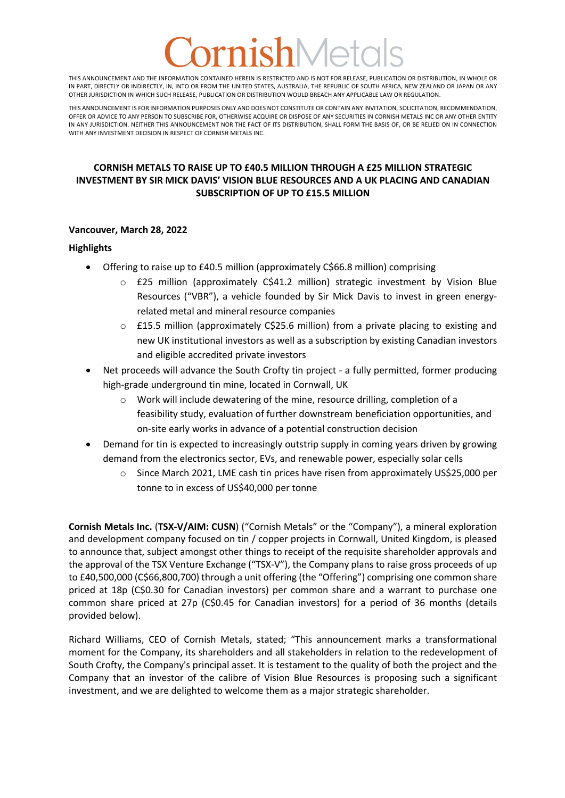# nishMet

THIS ANNOUNCEMENT AND THE INFORMATION CONTAINED HEREIN IS RESTRICTED AND IS NOT FOR RELEASE, PUBLICATION OR DISTRIBUTION, IN WHOLE OR IN PART, DIRECTLY OR INDIRECTLY, IN, INTO OR FROM THE UNITED STATES, AUSTRALIA, THE REPUBLIC OF SOUTH AFRICA, NEW ZEALAND OR JAPAN OR ANY OTHER JURISDICTION IN WHICH SUCH RELEASE, PUBLICATION OR DISTRIBUTION WOULD BREACH ANY APPLICABLE LAW OR REGULATION.

THIS ANNOUNCEMENT IS FOR INFORMATION PURPOSES ONLY AND DOES NOT CONSTITUTE OR CONTAIN ANY INVITATION, SOLICITATION, RECOMMENDATION, OFFER OR ADVICE TO ANY PERSON TO SUBSCRIBE FOR, OTHERWISE ACQUIRE OR DISPOSE OF ANY SECURITIES IN CORNISH METALS INC OR ANY OTHER ENTITY IN ANY JURISDICTION. NEITHER THIS ANNOUNCEMENT NOR THE FACT OF ITS DISTRIBUTION, SHALL FORM THE BASIS OF, OR BE RELIED ON IN CONNECTION WITH ANY INVESTMENT DECISION IN RESPECT OF CORNISH METALS INC.

# **CORNISH METALS TO RAISE UP TO £40.5 MILLION THROUGH A £25 MILLION STRATEGIC INVESTMENT BY SIR MICK DAVIS' VISION BLUE RESOURCES AND A UK PLACING AND CANADIAN SUBSCRIPTION OF UP TO £15.5 MILLION**

# **Vancouver, March 28, 2022**

#### **Highlights**

- Offering to raise up to £40.5 million (approximately C\$66.8 million) comprising
	- $\circ$  £25 million (approximately C\$41.2 million) strategic investment by Vision Blue Resources ("VBR"), a vehicle founded by Sir Mick Davis to invest in green energyrelated metal and mineral resource companies
	- $\circ$  £15.5 million (approximately C\$25.6 million) from a private placing to existing and new UK institutional investors as well as a subscription by existing Canadian investors and eligible accredited private investors
- Net proceeds will advance the South Crofty tin project a fully permitted, former producing high-grade underground tin mine, located in Cornwall, UK
	- o Work will include dewatering of the mine, resource drilling, completion of a feasibility study, evaluation of further downstream beneficiation opportunities, and on-site early works in advance of a potential construction decision
- Demand for tin is expected to increasingly outstrip supply in coming years driven by growing demand from the electronics sector, EVs, and renewable power, especially solar cells
	- $\circ$  Since March 2021, LME cash tin prices have risen from approximately US\$25,000 per tonne to in excess of US\$40,000 per tonne

**Cornish Metals Inc.** (**TSX-V/AIM: CUSN**) ("Cornish Metals" or the "Company"), a mineral exploration and development company focused on tin / copper projects in Cornwall, United Kingdom, is pleased to announce that, subject amongst other things to receipt of the requisite shareholder approvals and the approval of the TSX Venture Exchange ("TSX-V"), the Company plans to raise gross proceeds of up to £40,500,000 (C\$66,800,700) through a unit offering (the "Offering") comprising one common share priced at 18p (C\$0.30 for Canadian investors) per common share and a warrant to purchase one common share priced at 27p (C\$0.45 for Canadian investors) for a period of 36 months (details provided below).

Richard Williams, CEO of Cornish Metals, stated; "This announcement marks a transformational moment for the Company, its shareholders and all stakeholders in relation to the redevelopment of South Crofty, the Company's principal asset. It is testament to the quality of both the project and the Company that an investor of the calibre of Vision Blue Resources is proposing such a significant investment, and we are delighted to welcome them as a major strategic shareholder.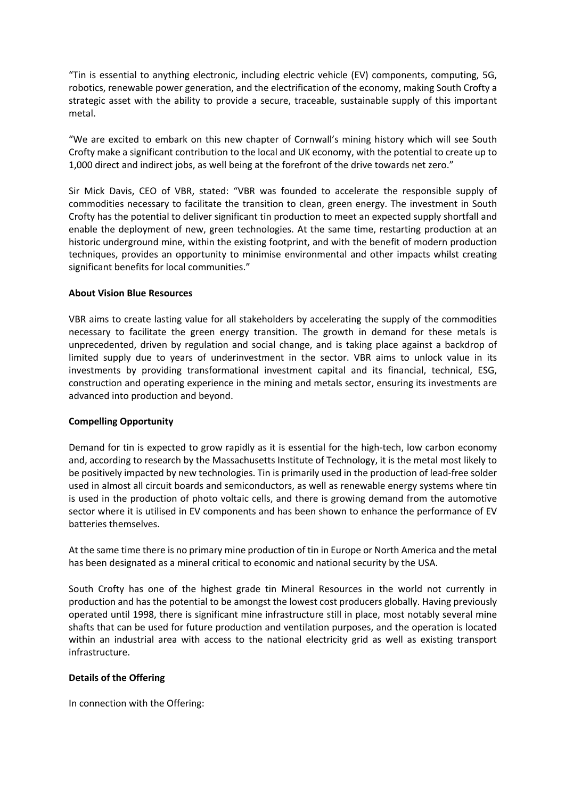"Tin is essential to anything electronic, including electric vehicle (EV) components, computing, 5G, robotics, renewable power generation, and the electrification of the economy, making South Crofty a strategic asset with the ability to provide a secure, traceable, sustainable supply of this important metal.

"We are excited to embark on this new chapter of Cornwall's mining history which will see South Crofty make a significant contribution to the local and UK economy, with the potential to create up to 1,000 direct and indirect jobs, as well being at the forefront of the drive towards net zero."

Sir Mick Davis, CEO of VBR, stated: "VBR was founded to accelerate the responsible supply of commodities necessary to facilitate the transition to clean, green energy. The investment in South Crofty has the potential to deliver significant tin production to meet an expected supply shortfall and enable the deployment of new, green technologies. At the same time, restarting production at an historic underground mine, within the existing footprint, and with the benefit of modern production techniques, provides an opportunity to minimise environmental and other impacts whilst creating significant benefits for local communities."

# **About Vision Blue Resources**

VBR aims to create lasting value for all stakeholders by accelerating the supply of the commodities necessary to facilitate the green energy transition. The growth in demand for these metals is unprecedented, driven by regulation and social change, and is taking place against a backdrop of limited supply due to years of underinvestment in the sector. VBR aims to unlock value in its investments by providing transformational investment capital and its financial, technical, ESG, construction and operating experience in the mining and metals sector, ensuring its investments are advanced into production and beyond.

# **Compelling Opportunity**

Demand for tin is expected to grow rapidly as it is essential for the high-tech, low carbon economy and, according to research by the Massachusetts Institute of Technology, it is the metal most likely to be positively impacted by new technologies. Tin is primarily used in the production of lead-free solder used in almost all circuit boards and semiconductors, as well as renewable energy systems where tin is used in the production of photo voltaic cells, and there is growing demand from the automotive sector where it is utilised in EV components and has been shown to enhance the performance of EV batteries themselves.

At the same time there is no primary mine production of tin in Europe or North America and the metal has been designated as a mineral critical to economic and national security by the USA.

South Crofty has one of the highest grade tin Mineral Resources in the world not currently in production and has the potential to be amongst the lowest cost producers globally. Having previously operated until 1998, there is significant mine infrastructure still in place, most notably several mine shafts that can be used for future production and ventilation purposes, and the operation is located within an industrial area with access to the national electricity grid as well as existing transport infrastructure.

# **Details of the Offering**

In connection with the Offering: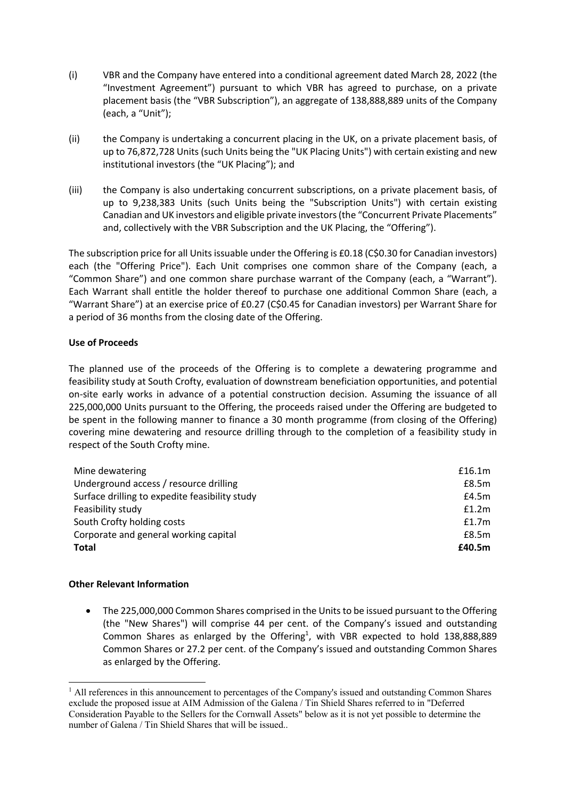- (i) VBR and the Company have entered into a conditional agreement dated March 28, 2022 (the "Investment Agreement") pursuant to which VBR has agreed to purchase, on a private placement basis (the "VBR Subscription"), an aggregate of 138,888,889 units of the Company (each, a "Unit");
- (ii) the Company is undertaking a concurrent placing in the UK, on a private placement basis, of up to 76,872,728 Units (such Units being the "UK Placing Units") with certain existing and new institutional investors (the "UK Placing"); and
- (iii) the Company is also undertaking concurrent subscriptions, on a private placement basis, of up to 9,238,383 Units (such Units being the "Subscription Units") with certain existing Canadian and UK investors and eligible private investors(the "Concurrent Private Placements" and, collectively with the VBR Subscription and the UK Placing, the "Offering").

The subscription price for all Units issuable under the Offering is £0.18 (C\$0.30 for Canadian investors) each (the "Offering Price"). Each Unit comprises one common share of the Company (each, a "Common Share") and one common share purchase warrant of the Company (each, a "Warrant"). Each Warrant shall entitle the holder thereof to purchase one additional Common Share (each, a "Warrant Share") at an exercise price of £0.27 (C\$0.45 for Canadian investors) per Warrant Share for a period of 36 months from the closing date of the Offering.

# **Use of Proceeds**

The planned use of the proceeds of the Offering is to complete a dewatering programme and feasibility study at South Crofty, evaluation of downstream beneficiation opportunities, and potential on-site early works in advance of a potential construction decision. Assuming the issuance of all 225,000,000 Units pursuant to the Offering, the proceeds raised under the Offering are budgeted to be spent in the following manner to finance a 30 month programme (from closing of the Offering) covering mine dewatering and resource drilling through to the completion of a feasibility study in respect of the South Crofty mine.

| Mine dewatering                                | £16.1m |
|------------------------------------------------|--------|
| Underground access / resource drilling         | £8.5m  |
| Surface drilling to expedite feasibility study | £4.5m  |
| Feasibility study                              | f1.2m  |
| South Crofty holding costs                     | f1.7m  |
| Corporate and general working capital          | £8.5m  |
| Total                                          | £40.5m |

# **Other Relevant Information**

• The 225,000,000 Common Shares comprised in the Units to be issued pursuant to the Offering (the "New Shares") will comprise 44 per cent. of the Company's issued and outstanding Common Shares as enlarged by the Offering<sup>1</sup>, with VBR expected to hold  $138,888,889$ Common Shares or 27.2 per cent. of the Company's issued and outstanding Common Shares as enlarged by the Offering.

 $<sup>1</sup>$  All references in this announcement to percentages of the Company's issued and outstanding Common Shares</sup> exclude the proposed issue at AIM Admission of the Galena / Tin Shield Shares referred to in "Deferred Consideration Payable to the Sellers for the Cornwall Assets" below as it is not yet possible to determine the number of Galena / Tin Shield Shares that will be issued..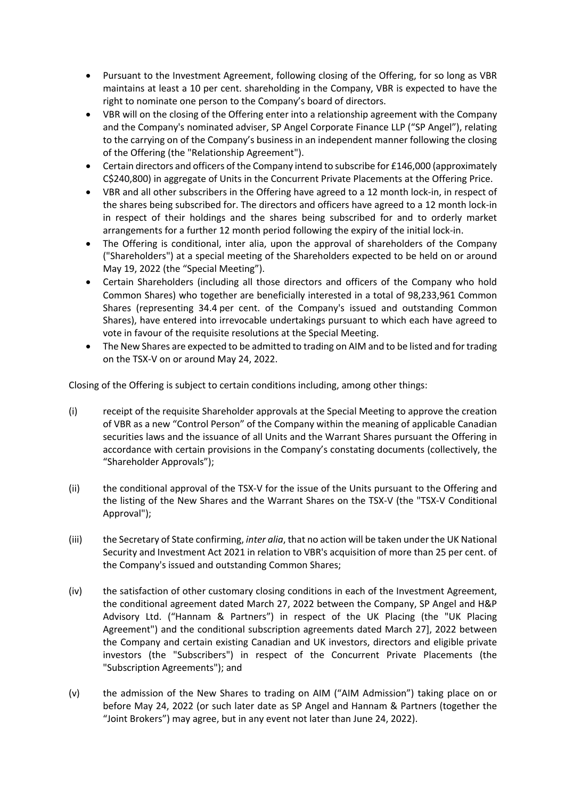- Pursuant to the Investment Agreement, following closing of the Offering, for so long as VBR maintains at least a 10 per cent. shareholding in the Company, VBR is expected to have the right to nominate one person to the Company's board of directors.
- VBR will on the closing of the Offering enter into a relationship agreement with the Company and the Company's nominated adviser, SP Angel Corporate Finance LLP ("SP Angel"), relating to the carrying on of the Company's business in an independent manner following the closing of the Offering (the "Relationship Agreement").
- Certain directors and officers of the Company intend to subscribe for £146,000 (approximately C\$240,800) in aggregate of Units in the Concurrent Private Placements at the Offering Price.
- VBR and all other subscribers in the Offering have agreed to a 12 month lock-in, in respect of the shares being subscribed for. The directors and officers have agreed to a 12 month lock-in in respect of their holdings and the shares being subscribed for and to orderly market arrangements for a further 12 month period following the expiry of the initial lock-in.
- The Offering is conditional, inter alia, upon the approval of shareholders of the Company ("Shareholders") at a special meeting of the Shareholders expected to be held on or around May 19, 2022 (the "Special Meeting").
- Certain Shareholders (including all those directors and officers of the Company who hold Common Shares) who together are beneficially interested in a total of 98,233,961 Common Shares (representing 34.4 per cent. of the Company's issued and outstanding Common Shares), have entered into irrevocable undertakings pursuant to which each have agreed to vote in favour of the requisite resolutions at the Special Meeting.
- The New Shares are expected to be admitted to trading on AIM and to be listed and for trading on the TSX-V on or around May 24, 2022.

Closing of the Offering is subject to certain conditions including, among other things:

- (i) receipt of the requisite Shareholder approvals at the Special Meeting to approve the creation of VBR as a new "Control Person" of the Company within the meaning of applicable Canadian securities laws and the issuance of all Units and the Warrant Shares pursuant the Offering in accordance with certain provisions in the Company's constating documents (collectively, the "Shareholder Approvals");
- (ii) the conditional approval of the TSX-V for the issue of the Units pursuant to the Offering and the listing of the New Shares and the Warrant Shares on the TSX-V (the "TSX-V Conditional Approval");
- (iii) the Secretary of State confirming, *inter alia*, that no action will be taken under the UK National Security and Investment Act 2021 in relation to VBR's acquisition of more than 25 per cent. of the Company's issued and outstanding Common Shares;
- (iv) the satisfaction of other customary closing conditions in each of the Investment Agreement, the conditional agreement dated March 27, 2022 between the Company, SP Angel and H&P Advisory Ltd. ("Hannam & Partners") in respect of the UK Placing (the "UK Placing Agreement") and the conditional subscription agreements dated March 27], 2022 between the Company and certain existing Canadian and UK investors, directors and eligible private investors (the "Subscribers") in respect of the Concurrent Private Placements (the "Subscription Agreements"); and
- (v) the admission of the New Shares to trading on AIM ("AIM Admission") taking place on or before May 24, 2022 (or such later date as SP Angel and Hannam & Partners (together the "Joint Brokers") may agree, but in any event not later than June 24, 2022).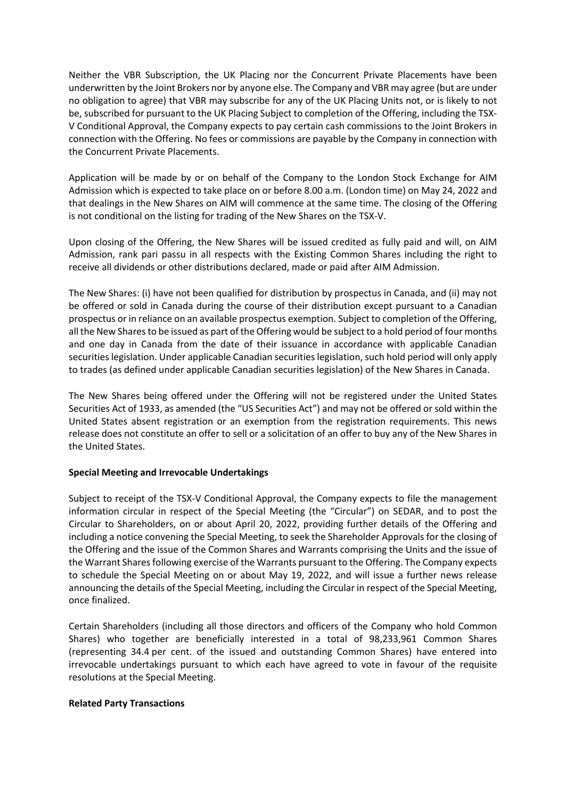Neither the VBR Subscription, the UK Placing nor the Concurrent Private Placements have been underwritten by the Joint Brokers nor by anyone else. The Company and VBR may agree (but are under no obligation to agree) that VBR may subscribe for any of the UK Placing Units not, or is likely to not be, subscribed for pursuant to the UK Placing Subject to completion of the Offering, including the TSX-V Conditional Approval, the Company expects to pay certain cash commissions to the Joint Brokers in connection with the Offering. No fees or commissions are payable by the Company in connection with the Concurrent Private Placements.

Application will be made by or on behalf of the Company to the London Stock Exchange for AIM Admission which is expected to take place on or before 8.00 a.m. (London time) on May 24, 2022 and that dealings in the New Shares on AIM will commence at the same time. The closing of the Offering is not conditional on the listing for trading of the New Shares on the TSX-V.

Upon closing of the Offering, the New Shares will be issued credited as fully paid and will, on AIM Admission, rank pari passu in all respects with the Existing Common Shares including the right to receive all dividends or other distributions declared, made or paid after AIM Admission.

The New Shares: (i) have not been qualified for distribution by prospectus in Canada, and (ii) may not be offered or sold in Canada during the course of their distribution except pursuant to a Canadian prospectus or in reliance on an available prospectus exemption. Subject to completion of the Offering, all the New Shares to be issued as part of the Offering would be subject to a hold period of four months and one day in Canada from the date of their issuance in accordance with applicable Canadian securities legislation. Under applicable Canadian securities legislation, such hold period will only apply to trades (as defined under applicable Canadian securities legislation) of the New Shares in Canada.

The New Shares being offered under the Offering will not be registered under the United States Securities Act of 1933, as amended (the "US Securities Act") and may not be offered or sold within the United States absent registration or an exemption from the registration requirements. This news release does not constitute an offer to sell or a solicitation of an offer to buy any of the New Shares in the United States.

# **Special Meeting and Irrevocable Undertakings**

Subject to receipt of the TSX-V Conditional Approval, the Company expects to file the management information circular in respect of the Special Meeting (the "Circular") on SEDAR, and to post the Circular to Shareholders, on or about April 20, 2022, providing further details of the Offering and including a notice convening the Special Meeting, to seek the Shareholder Approvals for the closing of the Offering and the issue of the Common Shares and Warrants comprising the Units and the issue of the Warrant Shares following exercise of the Warrants pursuant to the Offering. The Company expects to schedule the Special Meeting on or about May 19, 2022, and will issue a further news release announcing the details of the Special Meeting, including the Circular in respect of the Special Meeting, once finalized.

Certain Shareholders (including all those directors and officers of the Company who hold Common Shares) who together are beneficially interested in a total of 98,233,961 Common Shares (representing 34.4 per cent. of the issued and outstanding Common Shares) have entered into irrevocable undertakings pursuant to which each have agreed to vote in favour of the requisite resolutions at the Special Meeting.

# **Related Party Transactions**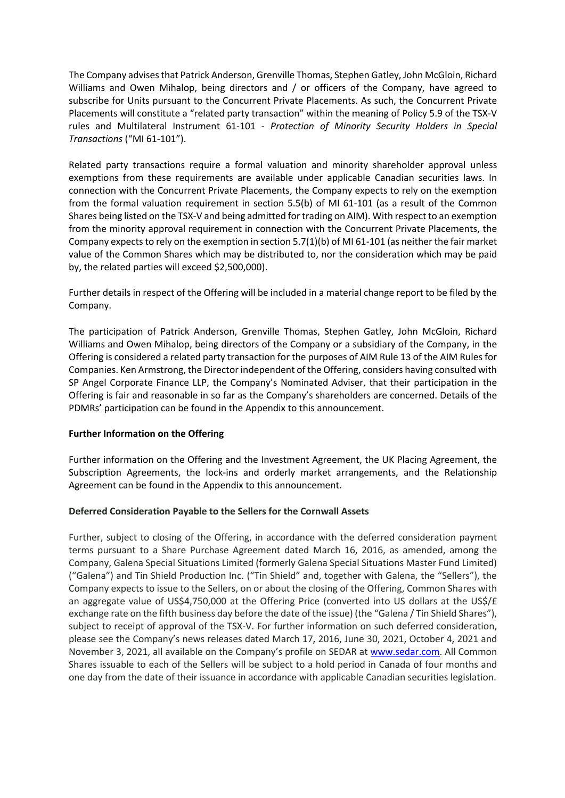The Company advises that Patrick Anderson, Grenville Thomas, Stephen Gatley, John McGloin, Richard Williams and Owen Mihalop, being directors and / or officers of the Company, have agreed to subscribe for Units pursuant to the Concurrent Private Placements. As such, the Concurrent Private Placements will constitute a "related party transaction" within the meaning of Policy 5.9 of the TSX-V rules and Multilateral Instrument 61-101 - *Protection of Minority Security Holders in Special Transactions* ("MI 61-101").

Related party transactions require a formal valuation and minority shareholder approval unless exemptions from these requirements are available under applicable Canadian securities laws. In connection with the Concurrent Private Placements, the Company expects to rely on the exemption from the formal valuation requirement in section 5.5(b) of MI 61-101 (as a result of the Common Shares being listed on the TSX-V and being admitted for trading on AIM). With respect to an exemption from the minority approval requirement in connection with the Concurrent Private Placements, the Company expects to rely on the exemption in section 5.7(1)(b) of MI 61-101 (as neither the fair market value of the Common Shares which may be distributed to, nor the consideration which may be paid by, the related parties will exceed \$2,500,000).

Further details in respect of the Offering will be included in a material change report to be filed by the Company.

The participation of Patrick Anderson, Grenville Thomas, Stephen Gatley, John McGloin, Richard Williams and Owen Mihalop, being directors of the Company or a subsidiary of the Company, in the Offering is considered a related party transaction for the purposes of AIM Rule 13 of the AIM Rules for Companies. Ken Armstrong, the Director independent of the Offering, considers having consulted with SP Angel Corporate Finance LLP, the Company's Nominated Adviser, that their participation in the Offering is fair and reasonable in so far as the Company's shareholders are concerned. Details of the PDMRs' participation can be found in the Appendix to this announcement.

# **Further Information on the Offering**

Further information on the Offering and the Investment Agreement, the UK Placing Agreement, the Subscription Agreements, the lock-ins and orderly market arrangements, and the Relationship Agreement can be found in the Appendix to this announcement.

# **Deferred Consideration Payable to the Sellers for the Cornwall Assets**

Further, subject to closing of the Offering, in accordance with the deferred consideration payment terms pursuant to a Share Purchase Agreement dated March 16, 2016, as amended, among the Company, Galena Special Situations Limited (formerly Galena Special Situations Master Fund Limited) ("Galena") and Tin Shield Production Inc. ("Tin Shield" and, together with Galena, the "Sellers"), the Company expects to issue to the Sellers, on or about the closing of the Offering, Common Shares with an aggregate value of US\$4,750,000 at the Offering Price (converted into US dollars at the US\$/ $\epsilon$ exchange rate on the fifth business day before the date of the issue) (the "Galena / Tin Shield Shares"), subject to receipt of approval of the TSX-V. For further information on such deferred consideration, please see the Company's news releases dated March 17, 2016, June 30, 2021, October 4, 2021 and November 3, 2021, all available on the Company's profile on SEDAR at www.sedar.com. All Common Shares issuable to each of the Sellers will be subject to a hold period in Canada of four months and one day from the date of their issuance in accordance with applicable Canadian securities legislation.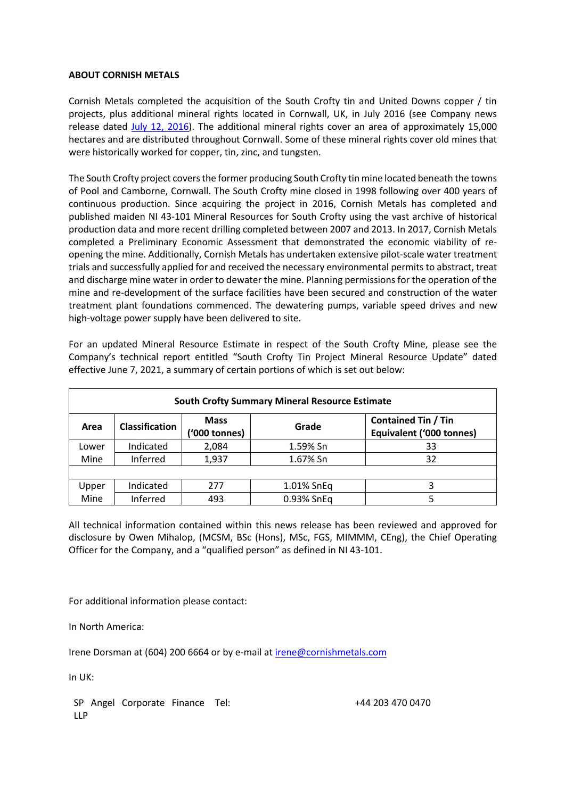### **ABOUT CORNISH METALS**

Cornish Metals completed the acquisition of the South Crofty tin and United Downs copper / tin projects, plus additional mineral rights located in Cornwall, UK, in July 2016 (see Company news release dated July 12, 2016). The additional mineral rights cover an area of approximately 15,000 hectares and are distributed throughout Cornwall. Some of these mineral rights cover old mines that were historically worked for copper, tin, zinc, and tungsten.

The South Crofty project covers the former producing South Crofty tin mine located beneath the towns of Pool and Camborne, Cornwall. The South Crofty mine closed in 1998 following over 400 years of continuous production. Since acquiring the project in 2016, Cornish Metals has completed and published maiden NI 43-101 Mineral Resources for South Crofty using the vast archive of historical production data and more recent drilling completed between 2007 and 2013. In 2017, Cornish Metals completed a Preliminary Economic Assessment that demonstrated the economic viability of reopening the mine. Additionally, Cornish Metals has undertaken extensive pilot-scale water treatment trials and successfully applied for and received the necessary environmental permits to abstract, treat and discharge mine water in order to dewater the mine. Planning permissions for the operation of the mine and re-development of the surface facilities have been secured and construction of the water treatment plant foundations commenced. The dewatering pumps, variable speed drives and new high-voltage power supply have been delivered to site.

For an updated Mineral Resource Estimate in respect of the South Crofty Mine, please see the Company's technical report entitled "South Crofty Tin Project Mineral Resource Update" dated effective June 7, 2021, a summary of certain portions of which is set out below:

| <b>South Crofty Summary Mineral Resource Estimate</b> |                       |                              |            |                                                               |
|-------------------------------------------------------|-----------------------|------------------------------|------------|---------------------------------------------------------------|
| Area                                                  | <b>Classification</b> | <b>Mass</b><br>('000 tonnes) | Grade      | <b>Contained Tin / Tin</b><br><b>Equivalent ('000 tonnes)</b> |
| Lower                                                 | Indicated             | 2,084                        | 1.59% Sn   | 33                                                            |
| Mine                                                  | Inferred              | 1,937                        | 1.67% Sn   | 32                                                            |
|                                                       |                       |                              |            |                                                               |
| Upper                                                 | Indicated             | 277                          | 1.01% SnEq |                                                               |
| Mine                                                  | Inferred              | 493                          | 0.93% SnEq |                                                               |

All technical information contained within this news release has been reviewed and approved for disclosure by Owen Mihalop, (MCSM, BSc (Hons), MSc, FGS, MIMMM, CEng), the Chief Operating Officer for the Company, and a "qualified person" as defined in NI 43-101.

For additional information please contact:

In North America:

Irene Dorsman at (604) 200 6664 or by e-mail at irene@cornishmetals.com

In UK:

SP Angel Corporate Finance Tel: LLP

Tel: +44 203 470 0470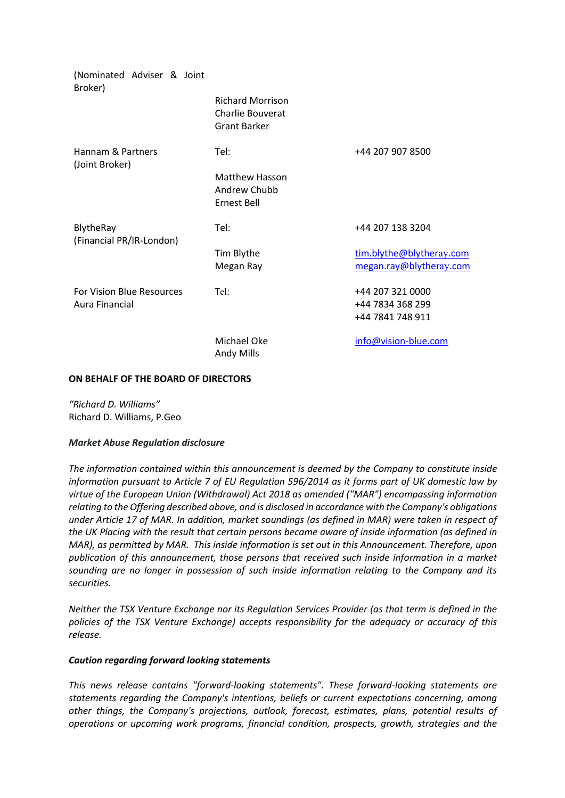| (Nominated Adviser & Joint<br>Broker) |                                                                           |                          |
|---------------------------------------|---------------------------------------------------------------------------|--------------------------|
|                                       | <b>Richard Morrison</b><br><b>Charlie Bouverat</b><br><b>Grant Barker</b> |                          |
| Hannam & Partners<br>(Joint Broker)   | Tel:                                                                      | +44 207 907 8500         |
|                                       | Matthew Hasson<br>Andrew Chubb<br>Ernest Bell                             |                          |
| BlytheRay<br>(Financial PR/IR-London) | Tel:                                                                      | +44 207 138 3204         |
|                                       | Tim Blythe                                                                | tim.blythe@blytheray.com |
|                                       | Megan Ray                                                                 | megan.ray@blytheray.com  |
| <b>For Vision Blue Resources</b>      | Tel:                                                                      | +44 207 321 0000         |
| Aura Financial                        |                                                                           | +44 7834 368 299         |
|                                       |                                                                           | +44 7841 748 911         |
|                                       | Michael Oke<br>Andy Mills                                                 | info@vision-blue.com     |

#### **ON BEHALF OF THE BOARD OF DIRECTORS**

*"Richard D. Williams"* Richard D. Williams, P.Geo

# *Market Abuse Regulation disclosure*

*The information contained within this announcement is deemed by the Company to constitute inside information pursuant to Article 7 of EU Regulation 596/2014 as it forms part of UK domestic law by virtue of the European Union (Withdrawal) Act 2018 as amended ("MAR") encompassing information relating to the Offering described above, and is disclosed in accordance with the Company's obligations under Article 17 of MAR. In addition, market soundings (as defined in MAR) were taken in respect of the UK Placing with the result that certain persons became aware of inside information (as defined in MAR), as permitted by MAR. This inside information is set out in this Announcement. Therefore, upon publication of this announcement, those persons that received such inside information in a market sounding are no longer in possession of such inside information relating to the Company and its securities.*

*Neither the TSX Venture Exchange nor its Regulation Services Provider (as that term is defined in the policies of the TSX Venture Exchange) accepts responsibility for the adequacy or accuracy of this release.*

#### *Caution regarding forward looking statements*

*This news release contains "forward-looking statements". These forward-looking statements are statements regarding the Company's intentions, beliefs or current expectations concerning, among other things, the Company's projections, outlook, forecast, estimates, plans, potential results of operations or upcoming work programs, financial condition, prospects, growth, strategies and the*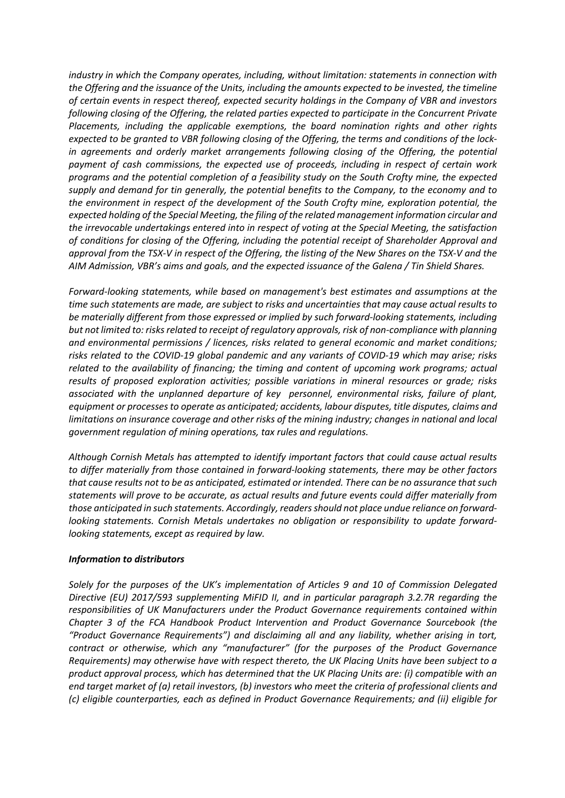*industry in which the Company operates, including, without limitation: statements in connection with the Offering and the issuance of the Units, including the amounts expected to be invested, the timeline of certain events in respect thereof, expected security holdings in the Company of VBR and investors following closing of the Offering, the related parties expected to participate in the Concurrent Private Placements, including the applicable exemptions, the board nomination rights and other rights expected to be granted to VBR following closing of the Offering, the terms and conditions of the lockin agreements and orderly market arrangements following closing of the Offering, the potential payment of cash commissions, the expected use of proceeds, including in respect of certain work programs and the potential completion of a feasibility study on the South Crofty mine, the expected supply and demand for tin generally, the potential benefits to the Company, to the economy and to the environment in respect of the development of the South Crofty mine, exploration potential, the expected holding of the Special Meeting, the filing of the related management information circular and the irrevocable undertakings entered into in respect of voting at the Special Meeting, the satisfaction of conditions for closing of the Offering, including the potential receipt of Shareholder Approval and approval from the TSX-V in respect of the Offering, the listing of the New Shares on the TSX-V and the AIM Admission, VBR's aims and goals, and the expected issuance of the Galena / Tin Shield Shares.*

*Forward-looking statements, while based on management's best estimates and assumptions at the time such statements are made, are subject to risks and uncertainties that may cause actual results to be materially different from those expressed or implied by such forward-looking statements, including but not limited to: risks related to receipt of regulatory approvals, risk of non-compliance with planning and environmental permissions / licences, risks related to general economic and market conditions; risks related to the COVID-19 global pandemic and any variants of COVID-19 which may arise; risks related to the availability of financing; the timing and content of upcoming work programs; actual results of proposed exploration activities; possible variations in mineral resources or grade; risks associated with the unplanned departure of key personnel, environmental risks, failure of plant, equipment or processes to operate as anticipated; accidents, labour disputes, title disputes, claims and limitations on insurance coverage and other risks of the mining industry; changes in national and local government regulation of mining operations, tax rules and regulations.*

*Although Cornish Metals has attempted to identify important factors that could cause actual results to differ materially from those contained in forward-looking statements, there may be other factors that cause results not to be as anticipated, estimated or intended. There can be no assurance that such statements will prove to be accurate, as actual results and future events could differ materially from those anticipated in such statements. Accordingly, readers should not place undue reliance on forwardlooking statements. Cornish Metals undertakes no obligation or responsibility to update forwardlooking statements, except as required by law.*

# *Information to distributors*

*Solely for the purposes of the UK's implementation of Articles 9 and 10 of Commission Delegated Directive (EU) 2017/593 supplementing MiFID II, and in particular paragraph 3.2.7R regarding the responsibilities of UK Manufacturers under the Product Governance requirements contained within Chapter 3 of the FCA Handbook Product Intervention and Product Governance Sourcebook (the "Product Governance Requirements") and disclaiming all and any liability, whether arising in tort, contract or otherwise, which any "manufacturer" (for the purposes of the Product Governance Requirements) may otherwise have with respect thereto, the UK Placing Units have been subject to a product approval process, which has determined that the UK Placing Units are: (i) compatible with an end target market of (a) retail investors, (b) investors who meet the criteria of professional clients and (c) eligible counterparties, each as defined in Product Governance Requirements; and (ii) eligible for*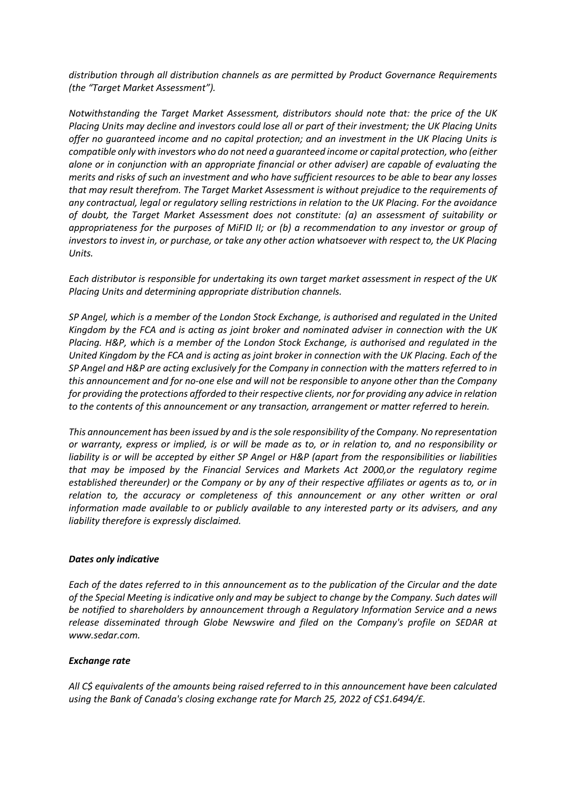*distribution through all distribution channels as are permitted by Product Governance Requirements (the "Target Market Assessment").*

*Notwithstanding the Target Market Assessment, distributors should note that: the price of the UK Placing Units may decline and investors could lose all or part of their investment; the UK Placing Units* offer no guaranteed income and no capital protection; and an investment in the UK Placing Units is *compatible only with investors who do not need a guaranteed income or capital protection, who (either alone or in conjunction with an appropriate financial or other adviser) are capable of evaluating the merits and risks of such an investment and who have sufficient resources to be able to bear any losses that may result therefrom. The Target Market Assessment is without prejudice to the requirements of any contractual, legal or regulatory selling restrictions in relation to the UK Placing. For the avoidance of doubt, the Target Market Assessment does not constitute: (a) an assessment of suitability or appropriateness for the purposes of MiFID II; or (b) a recommendation to any investor or group of investors to invest in, or purchase, or take any other action whatsoever with respect to, the UK Placing Units.*

*Each distributor is responsible for undertaking its own target market assessment in respect of the UK Placing Units and determining appropriate distribution channels.*

*SP Angel, which is a member of the London Stock Exchange, is authorised and regulated in the United Kingdom by the FCA and is acting as joint broker and nominated adviser in connection with the UK Placing. H&P, which is a member of the London Stock Exchange, is authorised and regulated in the United Kingdom by the FCA and is acting as joint broker in connection with the UK Placing. Each of the SP Angel and H&P are acting exclusively for the Company in connection with the matters referred to in this announcement and for no-one else and will not be responsible to anyone other than the Company for providing the protections afforded to their respective clients, nor for providing any advice in relation to the contents of this announcement or any transaction, arrangement or matter referred to herein.*

*This announcement has been issued by and is the sole responsibility of the Company. No representation or warranty, express or implied, is or will be made as to, or in relation to, and no responsibility or liability is or will be accepted by either SP Angel or H&P (apart from the responsibilities or liabilities that may be imposed by the Financial Services and Markets Act 2000,or the regulatory regime established thereunder) or the Company or by any of their respective affiliates or agents as to, or in relation to, the accuracy or completeness of this announcement or any other written or oral information made available to or publicly available to any interested party or its advisers, and any liability therefore is expressly disclaimed.*

# *Dates only indicative*

*Each of the dates referred to in this announcement as to the publication of the Circular and the date of the Special Meeting is indicative only and may be subject to change by the Company. Such dates will be notified to shareholders by announcement through a Regulatory Information Service and a news release disseminated through Globe Newswire and filed on the Company's profile on SEDAR at www.sedar.com.*

# *Exchange rate*

*All C\$ equivalents of the amounts being raised referred to in this announcement have been calculated using the Bank of Canada's closing exchange rate for March 25, 2022 of C\$1.6494/£.*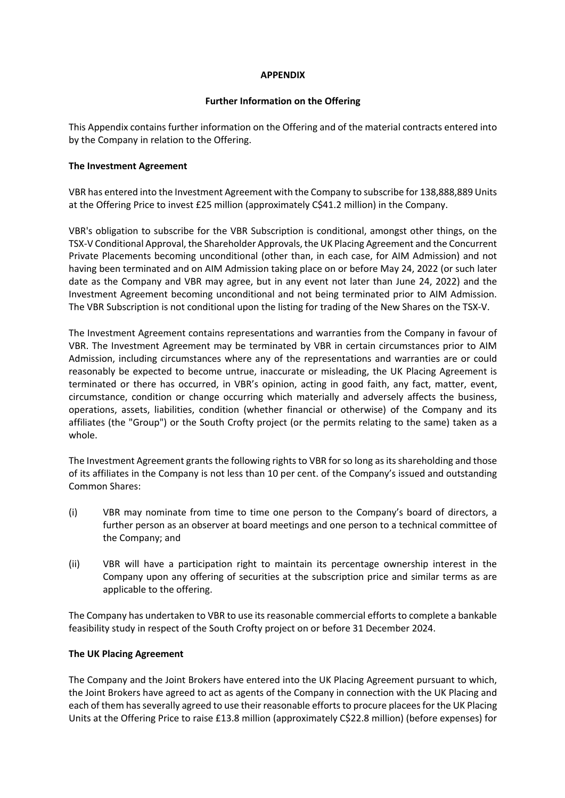# **APPENDIX**

# **Further Information on the Offering**

This Appendix contains further information on the Offering and of the material contracts entered into by the Company in relation to the Offering.

# **The Investment Agreement**

VBR has entered into the Investment Agreement with the Company to subscribe for 138,888,889 Units at the Offering Price to invest £25 million (approximately C\$41.2 million) in the Company.

VBR's obligation to subscribe for the VBR Subscription is conditional, amongst other things, on the TSX-V Conditional Approval, the Shareholder Approvals, the UK Placing Agreement and the Concurrent Private Placements becoming unconditional (other than, in each case, for AIM Admission) and not having been terminated and on AIM Admission taking place on or before May 24, 2022 (or such later date as the Company and VBR may agree, but in any event not later than June 24, 2022) and the Investment Agreement becoming unconditional and not being terminated prior to AIM Admission. The VBR Subscription is not conditional upon the listing for trading of the New Shares on the TSX-V.

The Investment Agreement contains representations and warranties from the Company in favour of VBR. The Investment Agreement may be terminated by VBR in certain circumstances prior to AIM Admission, including circumstances where any of the representations and warranties are or could reasonably be expected to become untrue, inaccurate or misleading, the UK Placing Agreement is terminated or there has occurred, in VBR's opinion, acting in good faith, any fact, matter, event, circumstance, condition or change occurring which materially and adversely affects the business, operations, assets, liabilities, condition (whether financial or otherwise) of the Company and its affiliates (the "Group") or the South Crofty project (or the permits relating to the same) taken as a whole.

The Investment Agreement grants the following rights to VBR for so long as its shareholding and those of its affiliates in the Company is not less than 10 per cent. of the Company's issued and outstanding Common Shares:

- (i) VBR may nominate from time to time one person to the Company's board of directors, a further person as an observer at board meetings and one person to a technical committee of the Company; and
- (ii) VBR will have a participation right to maintain its percentage ownership interest in the Company upon any offering of securities at the subscription price and similar terms as are applicable to the offering.

The Company has undertaken to VBR to use its reasonable commercial efforts to complete a bankable feasibility study in respect of the South Crofty project on or before 31 December 2024.

# **The UK Placing Agreement**

The Company and the Joint Brokers have entered into the UK Placing Agreement pursuant to which, the Joint Brokers have agreed to act as agents of the Company in connection with the UK Placing and each of them has severally agreed to use their reasonable efforts to procure placees for the UK Placing Units at the Offering Price to raise £13.8 million (approximately C\$22.8 million) (before expenses) for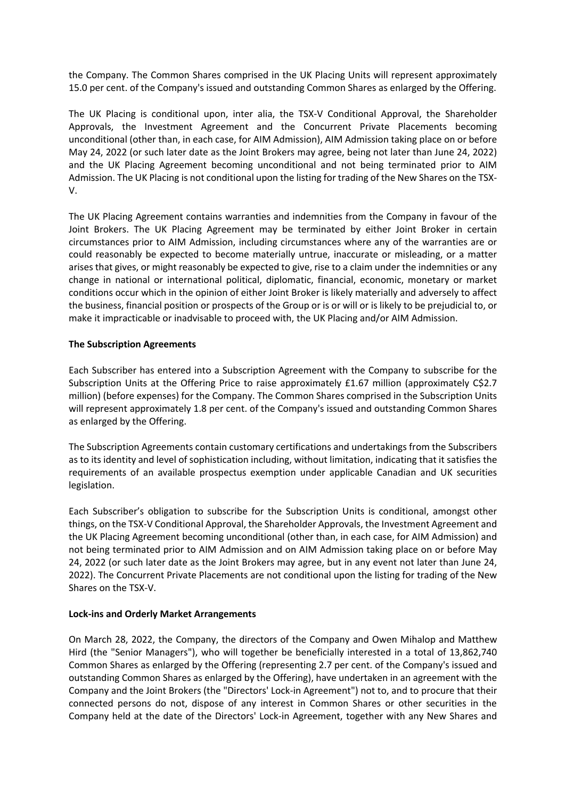the Company. The Common Shares comprised in the UK Placing Units will represent approximately 15.0 per cent. of the Company's issued and outstanding Common Shares as enlarged by the Offering.

The UK Placing is conditional upon, inter alia, the TSX-V Conditional Approval, the Shareholder Approvals, the Investment Agreement and the Concurrent Private Placements becoming unconditional (other than, in each case, for AIM Admission), AIM Admission taking place on or before May 24, 2022 (or such later date as the Joint Brokers may agree, being not later than June 24, 2022) and the UK Placing Agreement becoming unconditional and not being terminated prior to AIM Admission. The UK Placing is not conditional upon the listing for trading of the New Shares on the TSX-V.

The UK Placing Agreement contains warranties and indemnities from the Company in favour of the Joint Brokers. The UK Placing Agreement may be terminated by either Joint Broker in certain circumstances prior to AIM Admission, including circumstances where any of the warranties are or could reasonably be expected to become materially untrue, inaccurate or misleading, or a matter arises that gives, or might reasonably be expected to give, rise to a claim under the indemnities or any change in national or international political, diplomatic, financial, economic, monetary or market conditions occur which in the opinion of either Joint Broker is likely materially and adversely to affect the business, financial position or prospects of the Group or is or will or is likely to be prejudicial to, or make it impracticable or inadvisable to proceed with, the UK Placing and/or AIM Admission.

# **The Subscription Agreements**

Each Subscriber has entered into a Subscription Agreement with the Company to subscribe for the Subscription Units at the Offering Price to raise approximately £1.67 million (approximately C\$2.7 million) (before expenses) for the Company. The Common Shares comprised in the Subscription Units will represent approximately 1.8 per cent. of the Company's issued and outstanding Common Shares as enlarged by the Offering.

The Subscription Agreements contain customary certifications and undertakings from the Subscribers as to its identity and level of sophistication including, without limitation, indicating that it satisfies the requirements of an available prospectus exemption under applicable Canadian and UK securities legislation.

Each Subscriber's obligation to subscribe for the Subscription Units is conditional, amongst other things, on the TSX-V Conditional Approval, the Shareholder Approvals, the Investment Agreement and the UK Placing Agreement becoming unconditional (other than, in each case, for AIM Admission) and not being terminated prior to AIM Admission and on AIM Admission taking place on or before May 24, 2022 (or such later date as the Joint Brokers may agree, but in any event not later than June 24, 2022). The Concurrent Private Placements are not conditional upon the listing for trading of the New Shares on the TSX-V.

# **Lock-ins and Orderly Market Arrangements**

On March 28, 2022, the Company, the directors of the Company and Owen Mihalop and Matthew Hird (the "Senior Managers"), who will together be beneficially interested in a total of 13,862,740 Common Shares as enlarged by the Offering (representing 2.7 per cent. of the Company's issued and outstanding Common Shares as enlarged by the Offering), have undertaken in an agreement with the Company and the Joint Brokers (the "Directors' Lock-in Agreement") not to, and to procure that their connected persons do not, dispose of any interest in Common Shares or other securities in the Company held at the date of the Directors' Lock-in Agreement, together with any New Shares and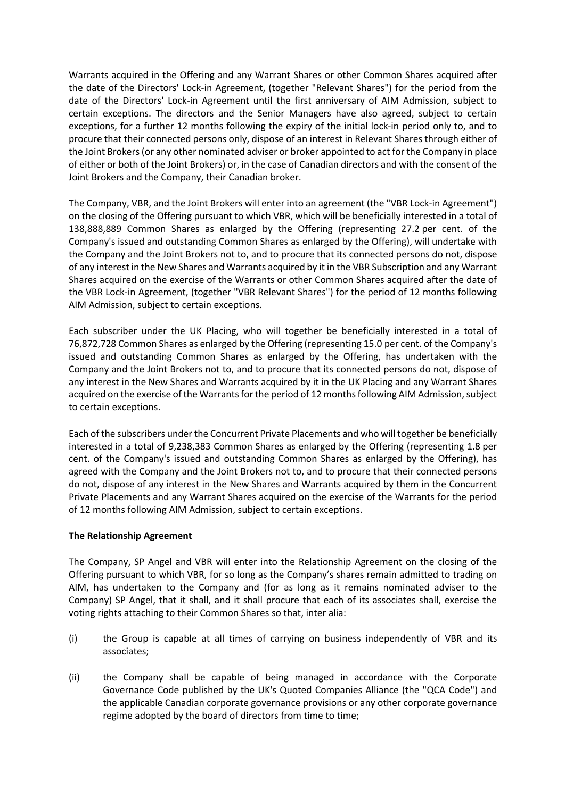Warrants acquired in the Offering and any Warrant Shares or other Common Shares acquired after the date of the Directors' Lock-in Agreement, (together "Relevant Shares") for the period from the date of the Directors' Lock-in Agreement until the first anniversary of AIM Admission, subject to certain exceptions. The directors and the Senior Managers have also agreed, subject to certain exceptions, for a further 12 months following the expiry of the initial lock-in period only to, and to procure that their connected persons only, dispose of an interest in Relevant Shares through either of the Joint Brokers (or any other nominated adviser or broker appointed to act for the Company in place of either or both of the Joint Brokers) or, in the case of Canadian directors and with the consent of the Joint Brokers and the Company, their Canadian broker.

The Company, VBR, and the Joint Brokers will enter into an agreement (the "VBR Lock-in Agreement") on the closing of the Offering pursuant to which VBR, which will be beneficially interested in a total of 138,888,889 Common Shares as enlarged by the Offering (representing 27.2 per cent. of the Company's issued and outstanding Common Shares as enlarged by the Offering), will undertake with the Company and the Joint Brokers not to, and to procure that its connected persons do not, dispose of any interest in the New Shares and Warrants acquired by it in the VBR Subscription and any Warrant Shares acquired on the exercise of the Warrants or other Common Shares acquired after the date of the VBR Lock-in Agreement, (together "VBR Relevant Shares") for the period of 12 months following AIM Admission, subject to certain exceptions.

Each subscriber under the UK Placing, who will together be beneficially interested in a total of 76,872,728 Common Shares as enlarged by the Offering (representing 15.0 per cent. of the Company's issued and outstanding Common Shares as enlarged by the Offering, has undertaken with the Company and the Joint Brokers not to, and to procure that its connected persons do not, dispose of any interest in the New Shares and Warrants acquired by it in the UK Placing and any Warrant Shares acquired on the exercise of the Warrants for the period of 12 months following AIM Admission, subject to certain exceptions.

Each of the subscribers under the Concurrent Private Placements and who will together be beneficially interested in a total of 9,238,383 Common Shares as enlarged by the Offering (representing 1.8 per cent. of the Company's issued and outstanding Common Shares as enlarged by the Offering), has agreed with the Company and the Joint Brokers not to, and to procure that their connected persons do not, dispose of any interest in the New Shares and Warrants acquired by them in the Concurrent Private Placements and any Warrant Shares acquired on the exercise of the Warrants for the period of 12 months following AIM Admission, subject to certain exceptions.

# **The Relationship Agreement**

The Company, SP Angel and VBR will enter into the Relationship Agreement on the closing of the Offering pursuant to which VBR, for so long as the Company's shares remain admitted to trading on AIM, has undertaken to the Company and (for as long as it remains nominated adviser to the Company) SP Angel, that it shall, and it shall procure that each of its associates shall, exercise the voting rights attaching to their Common Shares so that, inter alia:

- (i) the Group is capable at all times of carrying on business independently of VBR and its associates;
- (ii) the Company shall be capable of being managed in accordance with the Corporate Governance Code published by the UK's Quoted Companies Alliance (the "QCA Code") and the applicable Canadian corporate governance provisions or any other corporate governance regime adopted by the board of directors from time to time;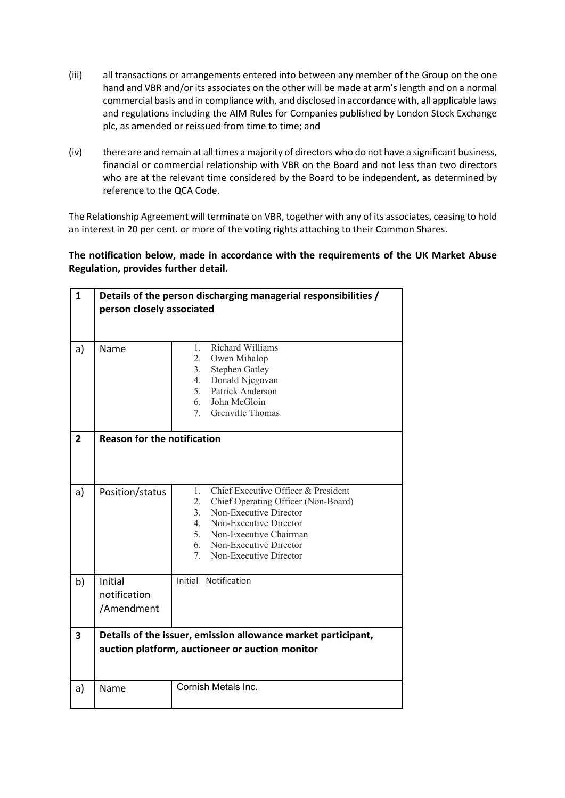- (iii) all transactions or arrangements entered into between any member of the Group on the one hand and VBR and/or its associates on the other will be made at arm's length and on a normal commercial basis and in compliance with, and disclosed in accordance with, all applicable laws and regulations including the AIM Rules for Companies published by London Stock Exchange plc, as amended or reissued from time to time; and
- (iv) there are and remain at all times a majority of directors who do not have a significant business, financial or commercial relationship with VBR on the Board and not less than two directors who are at the relevant time considered by the Board to be independent, as determined by reference to the QCA Code.

The Relationship Agreement will terminate on VBR, together with any of its associates, ceasing to hold an interest in 20 per cent. or more of the voting rights attaching to their Common Shares.

**The notification below, made in accordance with the requirements of the UK Market Abuse Regulation, provides further detail.**

| $\mathbf{1}$   | Details of the person discharging managerial responsibilities /<br>person closely associated                     |                                                                                                                                                                                                                                                        |  |  |
|----------------|------------------------------------------------------------------------------------------------------------------|--------------------------------------------------------------------------------------------------------------------------------------------------------------------------------------------------------------------------------------------------------|--|--|
| a)             | Name                                                                                                             | <b>Richard Williams</b><br>$1_{\cdots}$<br>2.<br>Owen Mihalop<br>3.<br><b>Stephen Gatley</b><br>Donald Njegovan<br>4.<br>5.<br>Patrick Anderson<br>John McGloin<br>6.<br>7 <sub>1</sub><br>Grenville Thomas                                            |  |  |
| $\overline{2}$ |                                                                                                                  | <b>Reason for the notification</b>                                                                                                                                                                                                                     |  |  |
| a)             | Position/status                                                                                                  | Chief Executive Officer & President<br>1.<br>Chief Operating Officer (Non-Board)<br>2.<br>Non-Executive Director<br>3.<br>4.<br>Non-Executive Director<br>5.<br>Non-Executive Chairman<br>6.<br>Non-Executive Director<br>Non-Executive Director<br>7. |  |  |
| b)             | Initial<br>notification<br>/Amendment                                                                            | Initial Notification                                                                                                                                                                                                                                   |  |  |
| 3              | Details of the issuer, emission allowance market participant,<br>auction platform, auctioneer or auction monitor |                                                                                                                                                                                                                                                        |  |  |
| a)             | Name                                                                                                             | Cornish Metals Inc.                                                                                                                                                                                                                                    |  |  |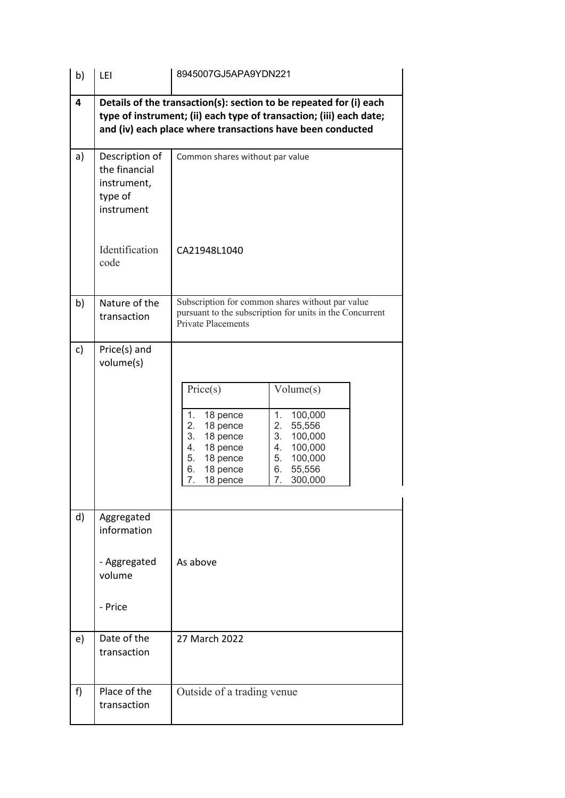| b) | LEI                                                                     | 8945007GJ5APA9YDN221                                                                                                                                                                                                                                                     |  |  |
|----|-------------------------------------------------------------------------|--------------------------------------------------------------------------------------------------------------------------------------------------------------------------------------------------------------------------------------------------------------------------|--|--|
| 4  |                                                                         | Details of the transaction(s): section to be repeated for (i) each<br>type of instrument; (ii) each type of transaction; (iii) each date;<br>and (iv) each place where transactions have been conducted                                                                  |  |  |
| a) | Description of<br>the financial<br>instrument,<br>type of<br>instrument | Common shares without par value                                                                                                                                                                                                                                          |  |  |
|    | Identification<br>code                                                  | CA21948L1040                                                                                                                                                                                                                                                             |  |  |
| b) | Nature of the<br>transaction                                            | Subscription for common shares without par value<br>pursuant to the subscription for units in the Concurrent<br>Private Placements                                                                                                                                       |  |  |
| c) | Price(s) and<br>volume(s)                                               | Price(s)<br>Volume(s)<br>1.<br>100,000<br>1.<br>18 pence<br>2.<br>2.<br>18 pence<br>55,556<br>3.<br>18 pence<br>3.<br>100,000<br>18 pence<br>100,000<br>4.<br>4.<br>5.<br>18 pence<br>5.<br>100,000<br>18 pence<br>55,556<br>6.<br>6.<br>7.<br>18 pence<br>7.<br>300,000 |  |  |
| d) | Aggregated<br>information<br>- Aggregated<br>volume<br>- Price          | As above                                                                                                                                                                                                                                                                 |  |  |
| e) | Date of the<br>transaction                                              | 27 March 2022                                                                                                                                                                                                                                                            |  |  |
| f) | Place of the<br>transaction                                             | Outside of a trading venue                                                                                                                                                                                                                                               |  |  |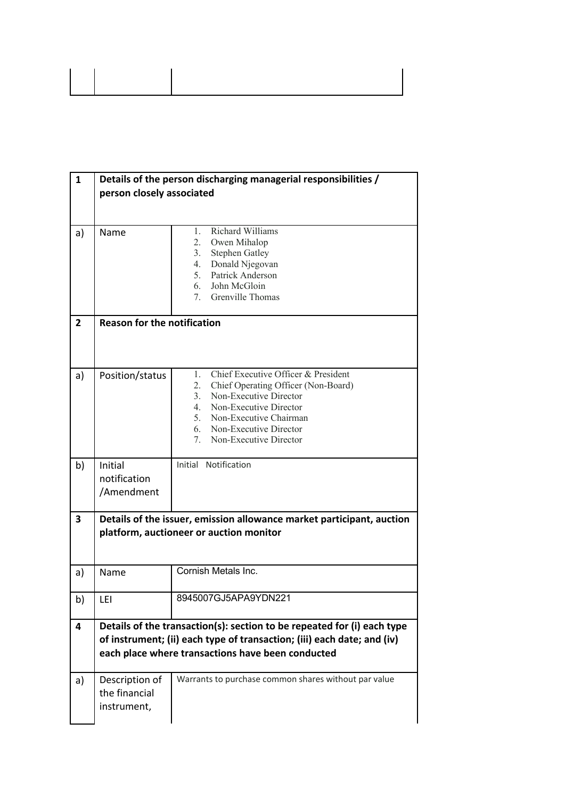| 1                       | Details of the person discharging managerial responsibilities /<br>person closely associated                                                                                                            |                                                                                                                                                                                                                                                        |  |
|-------------------------|---------------------------------------------------------------------------------------------------------------------------------------------------------------------------------------------------------|--------------------------------------------------------------------------------------------------------------------------------------------------------------------------------------------------------------------------------------------------------|--|
| a)                      | Name                                                                                                                                                                                                    | Richard Williams<br>1.<br>2.<br>Owen Mihalop<br>3.<br><b>Stephen Gatley</b><br>4.<br>Donald Njegovan<br>5.<br>Patrick Anderson<br>John McGloin<br>6.<br>7. Grenville Thomas                                                                            |  |
| $\overline{2}$          | <b>Reason for the notification</b>                                                                                                                                                                      |                                                                                                                                                                                                                                                        |  |
| a)                      | Position/status                                                                                                                                                                                         | Chief Executive Officer & President<br>1.<br>2.<br>Chief Operating Officer (Non-Board)<br>Non-Executive Director<br>3.<br>Non-Executive Director<br>4.<br>5.<br>Non-Executive Chairman<br>Non-Executive Director<br>6.<br>Non-Executive Director<br>7. |  |
| b)                      | Initial<br>notification<br>/Amendment                                                                                                                                                                   | Initial Notification                                                                                                                                                                                                                                   |  |
| $\overline{\mathbf{3}}$ | Details of the issuer, emission allowance market participant, auction<br>platform, auctioneer or auction monitor                                                                                        |                                                                                                                                                                                                                                                        |  |
| a)                      | Name                                                                                                                                                                                                    | Cornish Metals Inc.                                                                                                                                                                                                                                    |  |
| b)                      | LEI                                                                                                                                                                                                     | 8945007GJ5APA9YDN221                                                                                                                                                                                                                                   |  |
| 4                       | Details of the transaction(s): section to be repeated for (i) each type<br>of instrument; (ii) each type of transaction; (iii) each date; and (iv)<br>each place where transactions have been conducted |                                                                                                                                                                                                                                                        |  |
| a)                      | Description of<br>the financial<br>instrument,                                                                                                                                                          | Warrants to purchase common shares without par value                                                                                                                                                                                                   |  |

 $\begin{array}{c} \hline \end{array}$